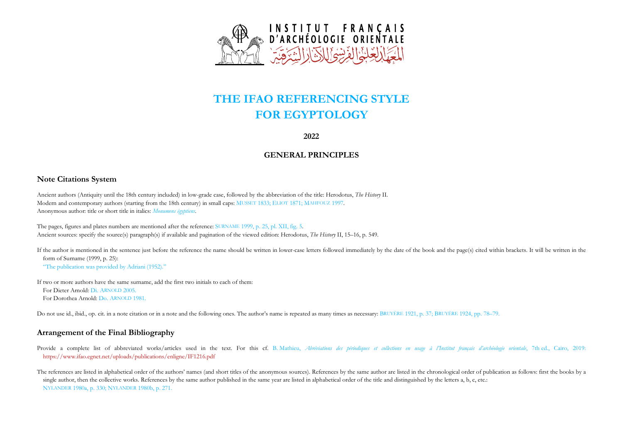

# **THE IFAO REFERENCING STYLE FOR EGYPTOLOGY**

**2022**

## **GENERAL PRINCIPLES**

### **Note Citations System**

Ancient authors (Antiquity until the 18th century included) in low-grade case, followed by the abbreviation of the title: Herodotus, *The History* II. Modern and contemporary authors (starting from the 18th century) in small caps: MUSSET 1833; ELIOT 1871; MAHFOUZ 1997. Anonymous author: title or short title in italics: *Monumens égyptiens*.

If the author is mentioned in the sentence just before the reference the name should be written in lower-case letters followed immediately by the date of the book and the page(s) cited within brackets. It will be written i form of Surname (1999, p. 25): "The publication was provided by Adriani (1952)."

The pages, figures and plates numbers are mentioned after the reference: SURNAME 1999, p. 25, pl. XII, fig. 5. Ancient sources: specify the source(s) paragraph(s) if available and pagination of the viewed edition: Herodotus, *The History* II, 15–16, p. 549.

- Provide a complete list of abbreviated works/articles used in the text. For this cf. B. Mathieu, Abréviations des périodiques et collections en usage à l'Institut français d'archéologie orientale, 7th ed., Cairo, 2019: https://www.ifao.egnet.net/uploads/publications/enligne/IF1216.pdf
- The references are listed in alphabetical order of the authors' names (and short titles of the anonymous sources). References by the same author are listed in the chronological order of publication as follows: first the bo single author, then the collective works. References by the same author published in the same year are listed in alphabetical order of the title and distinguished by the letters a, b, c, etc.: NYLANDER 1980a, p. 330; NYLANDER 1980b, p. 271.

If two or more authors have the same surname, add the first two initials to each of them: For Dieter Arnold: Di. ARNOLD 2005. For Dorothea Arnold: Do. ARNOLD 1981.

Do not use id., ibid., op. cit. in a note citation or in a note and the following ones. The author's name is repeated as many times as necessary: BRUYÈRE 1921, p. 37; BRUYÈRE 1924, pp. 78-79.

### **Arrangement of the Final Bibliography**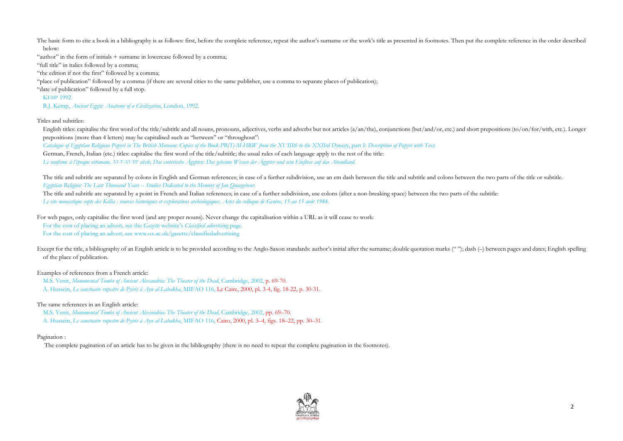The basic form to cite a book in a bibliography is as follows: first, before the complete reference, repeat the author's surname or the work's title as presented in footnotes. Then put the complete reference in the order d below:

"author" in the form of initials + surname in lowercase followed by a comma;

"full title" in italics followed by a comma;

"the edition if not the first" followed by a comma;

"place of publication" followed by a comma (if there are several cities to the same publisher, use a comma to separate places of publication);

English titles: capitalise the first word of the title/subtitle and all nouns, pronouns, adjectives, verbs and adverbs but not articles (a/an/the), conjunctions (but/and/or, etc.) and short prepositions (to/on/for/with, et prepositions (more than 4 letters) may be capitalised such as "between" or "throughout":

*Catalogue of Egyptian Religious Papyri in The British Museum: Copies of the Book PR(T)-M-HRW from the XVIIIth to the XXIIrd Dynasty*, part I: *Description of Papyri with Text.* German, French, Italian (etc.) titles: capitalise the first word of the title/subtitle; the usual rules of each language apply to the rest of the title: Le soufisme à l'époque ottomane, XVI<sup>e</sup>-XVIII° siècle; Das esoterische Ägypten: Das geheime Wissen der Ägypter und sein Einfluss auf das Abendland.

"date of publication" followed by a full stop.

**KEMP 1992** 

B.J. Kemp, *Ancient Egypt: Anatomy of a Civilization*, London, 1992.

#### Titles and subtitles:

The title and subtitle are separated by colons in English and German references; in case of a further subdivision, use an em dash between the title and subtitle and colons between the two parts of the title or subtitle. *Egyptian Religion: The Last Thousand Years – Studies Dedicated to the Memory of Jan Quaegebeur.*

The title and subtitle are separated by a point in French and Italian references; in case of a further subdivision, use colons (after a non-breaking space) between the two parts of the subtitle: *Le site monastique copte des Kellia : sources historiques et explorations archéologiques. Actes du colloque de Genève, 13 au 15 août 1984.*

Except for the title, a bibliography of an English article is to be provided according to the Anglo-Saxon standards: author's initial after the surname; double quotation marks (""); dash (-) between pages and dates; Englis of the place of publication.

For web pages, only capitalise the first word (and any proper nouns). Never change the capitalisation within a URL as it will cease to work: For the cost of placing an advert, see the *Gazette* website's *Classified advertising* page.

For the cost of placing an advert, see www.ox.ac.uk/gazette/classifiedadvertising

#### Examples of references from a French article:

M.S. Venit, *Monumental Tombs of Ancient Alexandria: The Theater of the Dead*, Cambridge, 2002, p. 69-70. A. Hussein, *Le sanctuaire rupestre de Pyiris à Ayn al-Labakha*, MIFAO 116, Le Caire, 2000, pl. 3-4, fig. 18-22, p. 30-31.

#### The same references in an English article:

M.S. Venit, *Monumental Tombs of Ancient Alexandria: The Theater of the Dead*, Cambridge, 2002, pp. 69–70. A. Hussein, *Le sanctuaire rupestre de Pyiris à Ayn al-Labakha*, MIFAO 116, Cairo, 2000, pl. 3–4, figs. 18–22, pp. 30–31.

#### Pagination :

The complete pagination of an article has to be given in the bibliography (there is no need to repeat the complete pagination in the footnotes).

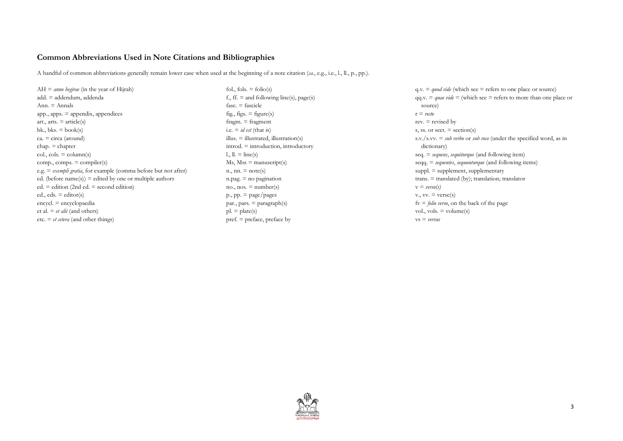# **Common Abbreviations Used in Note Citations and Bibliographies**

A handful of common abbreviations generally remain lower case when used at the beginning of a note citation (*ca.*, e.g., i.e., l., ll., p., pp.).

| $AH = \text{anno} \text{hegirae}$ (in the year of Hijrah)                 | fol., fols. $=$ folio(s)                   | q.v. $=$ quod vide (which                       |
|---------------------------------------------------------------------------|--------------------------------------------|-------------------------------------------------|
| $add. = addendum, addenda$                                                | f., ff. $=$ and following line(s), page(s) | $qq.v. \equiv$ quae vide $\equiv$ (wh           |
| $Ann. = Annals$                                                           | $fasc. = fascicle$                         | source)                                         |
| $app., app. = appendix, appendices$                                       | fig., figs. $=$ figure(s)                  | $r = recto$                                     |
| art., arts. $=$ article(s)                                                | fragm. $=$ fragment                        | rev. $=$ revised by                             |
| bk., bks. $=$ book(s)                                                     | i.e. $= id$ <i>est</i> (that is)           | s, ss. or sect. $=$ section                     |
| $ca. = circa (around)$                                                    | illus. $=$ illustrated, illustration(s)    | s.v./s.vv. $=$ sub verbo $\Omega$               |
| $chap. = chapter$                                                         | $introd. = introduction, introductor$      | dictionary)                                     |
| $col., \ncols. = column(s)$                                               | $l, ll = line(s)$                          | $seq. = \textit{sequences}, \textit{sequiturg}$ |
| comp., comps. $=$ compiler(s)                                             | $Ms, Mss = manuscript(s)$                  | $seqq. = \textit{sequences}, \textit{sequent}$  |
| e.g. $=$ <i>exempli gratia</i> , for example (comma before but not after) | $n, nn. = note(s)$                         | $suppl. = supplement, s$                        |
| ed. (before $name(s)$ ) = edited by one or multiple authors               | $n$ .pag. $=$ no pagination                | $trans. = translated (by)$                      |
| $ed. =$ edition (2nd ed. $=$ second edition)                              | $no., nos. = number(s)$                    | $v = \text{verso}(s)$                           |
| ed., eds. $=$ editor(s)                                                   | $p$ ., $pp = page/pages$                   | $v_{\cdot}$ , vv. = verse(s)                    |
| $encycl. = encyclopaedia$                                                 | par., pars. $=$ paragraph(s)               | $fv = folio$ verso, on the b                    |
| et al. $= et \text{ alii}$ (and others)                                   | $pl. = plate(s)$                           | vol., vols. $=$ volume(s)                       |
| $etc. = et \text{ cetera}$ (and other things)                             | $\text{pref.}$ = preface, preface by       | $vs = versus$                                   |



 $q_0$  see = *refers* to one place or source) which see  $=$  refers to more than one place or

 $sn(s)$ or *sub voce* (under the specified word, as in

gue (and following item) *unturque* (and following items) supplementary y); translation; translator

back of the page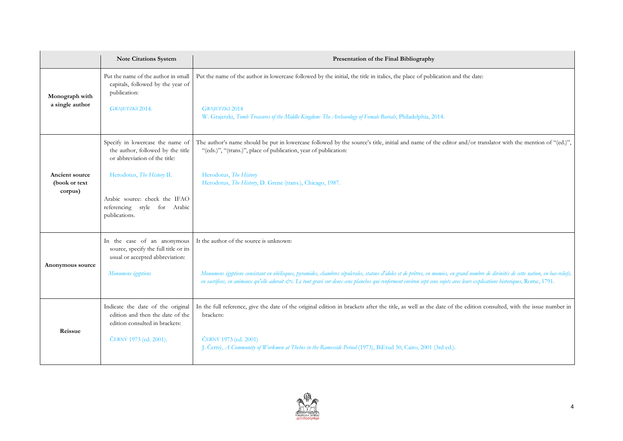|                                            | <b>Note Citations System</b>                                                                                                                                                                                           | <b>Presentation of the Final Bibliography</b>                                                                                                                                                                                                                                                                                     |
|--------------------------------------------|------------------------------------------------------------------------------------------------------------------------------------------------------------------------------------------------------------------------|-----------------------------------------------------------------------------------------------------------------------------------------------------------------------------------------------------------------------------------------------------------------------------------------------------------------------------------|
| Monograph with<br>a single author          | Put the name of the author in small<br>capitals, followed by the year of<br>publication:<br>GRAJETZKI 2014.                                                                                                            | Put the name of the author in lowercase followed by the initial, the title in italics, the place of publication and the date:<br>GRAJETZKI 2014<br>W. Grajetzki, Tomb Treasures of the Middle Kingdom: The Archaeology of Female Burials, Philadelphia, 2014.                                                                     |
| Ancient source<br>(book or text<br>corpus) | Specify in lowercase the name of<br>the author, followed by the title<br>or abbreviation of the title:<br>Herodotus, The History II.<br>Arabic source: check the IFAO<br>referencing style for Arabic<br>publications. | The author's name should be put in lowercase followed by the source's title, initial and name of the editor and/or tra<br>"(eds.)", "(trans.)", place of publication, year of publication:<br>Herodotus, The History<br>Herodotus, The History, D. Grene (trans.), Chicago, 1987.                                                 |
| Anonymous source                           | In the case of an anonymous<br>source, specify the full title or its<br>usual or accepted abbreviation:<br>Monumens égyptiens                                                                                          | It the author of the source is unknown:<br>Monumens égyptiens consistant en obélisques, pyramides, chambres sépulcrales, statues d'idoles et de prêtres, en momies, en grand nombr<br>en sacrifices, en animaux qu'elle adorait &c. Le tout gravé sur deux cens planches qui renferment environ sept cens sujets avec leurs expli |
| Reissue                                    | Indicate the date of the original<br>edition and then the date of the<br>edition consulted in brackets:<br>ČERNÝ 1973 (ed. 2001).                                                                                      | In the full reference, give the date of the original edition in brackets after the title, as well as the date of the edition<br>brackets:<br>ČERNÝ 1973 (ed. 2001)<br>J. Černý, A Community of Workmen at Thebes in the Ramesside Period (1973), BiEtud 50, Cairo, 2001 (3rd ed.).                                                |



/or translator with the mention of "(ed.)",

*Monumens égyptiens consistant en obélisques, pyramides, chambres sépulcrales, statues d'idoles et de prêtres, en momies, en grand nombre de divinités de cette nation, en bas-reliefs, en sacrifices, en animaux qu'elle adorait &c. Le tout gravé sur deux cens planches qui renferment environ sept cens sujets avec leurs explications historiques*, Rome, 1791.

In the issue number in branch consulted, with the issue number in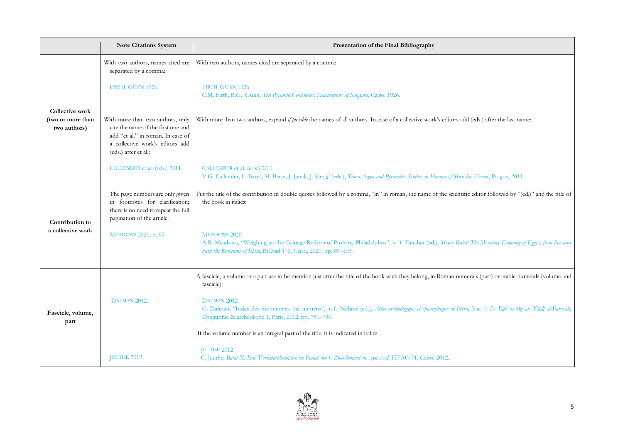V.G. Callender, L. Bareš, M. Bárta, J. Janák, J. Krejčí (eds.), *Times, Signs and Pyramids: Studies in Honour of Miroslav Verner*, Prague, 2011.

c editor followed by "(ed.)" and the title of

|                                                             | <b>Note Citations System</b>                                                                                                                                           | Presentation of the Final Bibliography                                                                                                                                                                 |
|-------------------------------------------------------------|------------------------------------------------------------------------------------------------------------------------------------------------------------------------|--------------------------------------------------------------------------------------------------------------------------------------------------------------------------------------------------------|
|                                                             | With two authors, names cited are<br>separated by a comma:                                                                                                             | With two authors, names cited are separated by a comma:                                                                                                                                                |
| <b>Collective work</b><br>(two or more than<br>two authors) | FIRTH, GUNN 1926.                                                                                                                                                      | FIRTH, GUNN 1926<br>C.M. Firth, B.G., Gunn, Teti Pyramid Cemeteries: Excavations at Saggara, Cairo, 1926.                                                                                              |
|                                                             | With more than two authors, only<br>cite the name of the first one and<br>add "et al." in roman. In case of<br>a collective work's editors add<br>(eds.) after et al.: | With more than two authors, expand <i>if possible</i> the names of all authors. In case of a collective work's editors add                                                                             |
|                                                             | CALLENDER et al. (eds.) 2011.                                                                                                                                          | CALLENDER et al. (eds.) 2011<br>V.G. Callender, L. Bareš, M. Bárta, J. Janák, J. Krejčí (eds.), Times, Signs and Pyramids: Studies in Honour of Mirosla                                                |
| Contribution to<br>a collective work                        | The page numbers are only given<br>in footnotes for clarification;<br>there is no need to repeat the full<br>pagination of the article:                                | Put the title of the contribution in double quotes followed by a comma, "in" in roman, the name of the scientific<br>the book in italics:                                                              |
|                                                             | MEADOWS 2020, p. 95.                                                                                                                                                   | <b>MEADOWS 2020</b><br>A.R. Meadows, "Weighing up the Coinage Reform of Ptolemy Philadelphus", in T. Faucher (ed.), Money Rules!<br>until the Beginning of Islam, BiEtud 176, Cairo, 2020, pp. 89-103. |
|                                                             |                                                                                                                                                                        | A fascicle, a volume or a part are to be mention just after the title of the book wich they belong, in Roman numer<br>fascicle):                                                                       |
| Fascicle, volume,<br>part                                   | DALMAN 2012.                                                                                                                                                           | DALMAN <sub>2012</sub><br>G. Dalman, "Index des monuments par numéro", in L. Nehmé (ed.), Atlas archéologique et épigraphique de Pétra,<br>Épigraphie & archéologie 1, Paris, 2012, pp. 751–790.       |
|                                                             |                                                                                                                                                                        | If the volume number is an integral part of the title, it is indicated in italics:                                                                                                                     |
|                                                             | JEUTHE 2012.                                                                                                                                                           | <b>JEUTHE 2012</b><br>C. Jeuthe, Balat X: Ein Werkstattkomplex im Palast der 1. Zwischenzeit in Ayn Asil, FIFAO 71, Cairo, 2012.                                                                       |



**i** (eds.) after the last name:

A.R. Meadows, "Weighing up the Coinage Reform of Ptolemy Philadelphus", in T. Faucher (ed.), *Money Rules! The Monetary Economy of Egypt, from Persians* 

erals (part) or arabic numerals (volume and

G. Dalman, "Index des monuments par numéro", in L. Nehmé (ed.), *Atlas archéologique et épigraphique de Pétra*, fasc. 1: *De Bāb as-Sīq au Wādī al-Farasah*,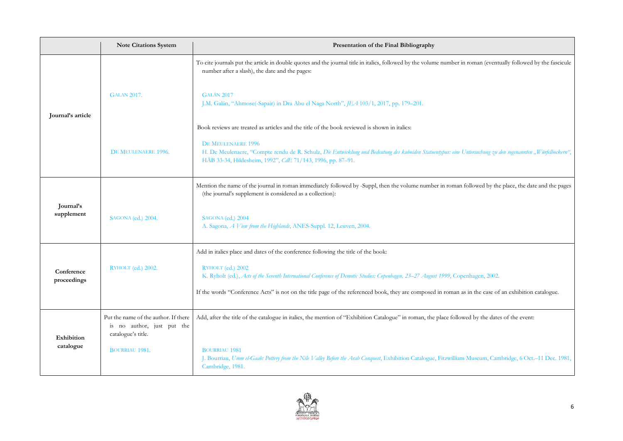|                           | <b>Note Citations System</b>                                                             | Presentation of the Final Bibliography                                                                                                                                                              |
|---------------------------|------------------------------------------------------------------------------------------|-----------------------------------------------------------------------------------------------------------------------------------------------------------------------------------------------------|
|                           |                                                                                          | To cite journals put the article in double quotes and the journal title in italics, followed by the volume number in ro<br>number after a slash), the date and the pages:                           |
| Journal's article         | <b>GALAN 2017.</b>                                                                       | GALÁN <sub>2017</sub><br>J.M. Galán, "Ahmose(-Sapair) in Dra Abu el Naga North", JEA 103/1, 2017, pp. 179-201.                                                                                      |
|                           |                                                                                          | Book reviews are treated as articles and the title of the book reviewed is shown in italics:                                                                                                        |
|                           | DE MEULENAERE 1996.                                                                      | DE MEULENAERE 1996<br>H. De Meulenaere, "Compte rendu de R. Schulz, Die Entwicklung und Bedeutung des kuboiden Statuentypus: eine Unt<br>HÄB 33-34, Hildesheim, 1992", CdE 71/143, 1996, pp. 87-91. |
|                           |                                                                                          | Mention the name of the journal in roman immediately followed by -Suppl, then the volume number in roman fol<br>(the journal's supplement is considered as a collection):                           |
| Journal's<br>supplement   | SAGONA (ed.) 2004.                                                                       | SAGONA (ed.) 2004<br>A. Sagona, A View from the Highlands, ANES-Suppl. 12, Leuven, 2004.                                                                                                            |
|                           |                                                                                          | Add in italics place and dates of the conference following the title of the book:                                                                                                                   |
| Conference<br>proceedings | RYHOLT (ed.) 2002.                                                                       | RYHOLT (ed.) 2002<br>K. Ryholt (ed.), Acts of the Seventh International Conference of Demotic Studies: Copenhagen, 23-27 August 1999, Copenl                                                        |
|                           |                                                                                          | If the words "Conference Acts" is not on the title page of the referenced book, they are composed in roman as in                                                                                    |
| Exhibition<br>catalogue   | Put the name of the author. If there<br>is no author, just put the<br>catalogue's title. | Add, after the title of the catalogue in italics, the mention of "Exhibition Catalogue" in roman, the place followed                                                                                |
|                           | BOURRIAU 1981.                                                                           | <b>BOURRIAU 1981</b><br>J. Bourriau, Umm el-Gaab: Pottery from the Nile Valley Before the Arab Conquest, Exhibition Catalogue, Fitzwilliam M<br>Cambridge, 1981.                                    |



roman (eventually followed by the fascicule H. De Meulenaere, "Compte rendu de R. Schulz, *Die Entwicklung und Bedeutung des kuboiden Statuentypus: eine Untersuchung zu den sogenannten "Würfelhockern"*, bllowed by the place, the date and the pages

K. Ryholt (ed.), *Acts of the Seventh International Conference of Demotic Studies: Copenhagen, 23–27 August 1999*, Copenhagen, 2002.

in the case of an exhibition catalogue.

d by the dates of the event:

J. Bourriau, *Umm el-Gaab: Pottery from the Nile Valley Before the Arab Conquest*, Exhibition Catalogue, Fitzwilliam Museum, Cambridge, 6 Oct.–11 Dec. 1981,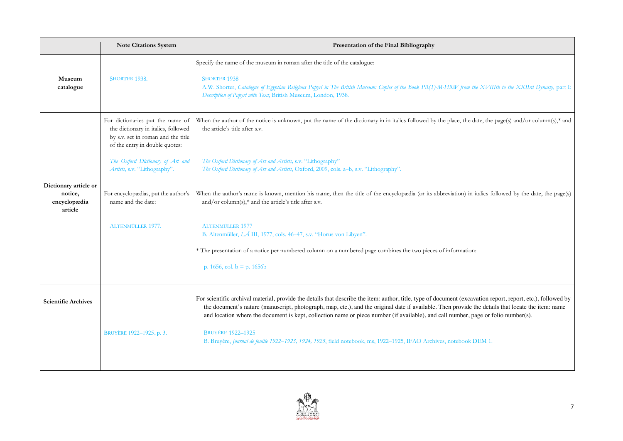# A.W. Shorter, *Catalogue of Egyptian Religious Papyri in The British Museum: Copies of the Book PR(T)-M-HRW from the XVIIIth to the XXIIrd Dynasty*, part I:

e date, the page(s) and/or column(s), $*$  and

in italics followed by the date, the page(s)

cavation report, report, etc.), followed by the details that locate the item: name s, page or folio number(s).

|                                                             | <b>Note Citations System</b>                                                                                                                    | Presentation of the Final Bibliography                                                                                                                                                                                                                                                                                                                                   |
|-------------------------------------------------------------|-------------------------------------------------------------------------------------------------------------------------------------------------|--------------------------------------------------------------------------------------------------------------------------------------------------------------------------------------------------------------------------------------------------------------------------------------------------------------------------------------------------------------------------|
| Museum<br>catalogue                                         | SHORTER 1938.                                                                                                                                   | Specify the name of the museum in roman after the title of the catalogue:<br><b>SHORTER 1938</b><br>A.W. Shorter, Catalogue of Egyptian Religious Papyri in The British Museum: Copies of the Book PR(T)-M-HRW from the XVI.<br>Description of Papyri with Text, British Museum, London, 1938.                                                                           |
|                                                             | For dictionaries put the name of<br>the dictionary in italics, followed<br>by s.v. set in roman and the title<br>of the entry in double quotes: | When the author of the notice is unknown, put the name of the dictionary in in italics followed by the place, the date, the<br>the article's title after s.v.                                                                                                                                                                                                            |
|                                                             | The Oxford Dictionary of Art and<br>Artists, s.v. "Lithography".                                                                                | The Oxford Dictionary of Art and Artists, s.v. "Lithography"<br>The Oxford Dictionary of Art and Artists, Oxford, 2009, cols. a-b, s.v. "Lithography".                                                                                                                                                                                                                   |
| Dictionary article or<br>notice,<br>encyclopædia<br>article | For encyclopædias, put the author's<br>name and the date:                                                                                       | When the author's name is known, mention his name, then the title of the encyclopædia (or its abbreviation) in italics f<br>and/or column(s), $*$ and the article's title after s.v.                                                                                                                                                                                     |
|                                                             | ALTENMÜLLER 1977.                                                                                                                               | <b>ALTENMÜLLER 1977</b><br>B. Altenmüller, LÄ III, 1977, cols. 46-47, s.v. "Horus von Libyen".                                                                                                                                                                                                                                                                           |
|                                                             |                                                                                                                                                 | * The presentation of a notice per numbered column on a numbered page combines the two pieces of information:                                                                                                                                                                                                                                                            |
|                                                             |                                                                                                                                                 | p. 1656, col. b = p. 1656b                                                                                                                                                                                                                                                                                                                                               |
| <b>Scientific Archives</b>                                  |                                                                                                                                                 | For scientific archival material, provide the details that describe the item: author, title, type of document (excavation r<br>the document's nature (manuscript, photograph, map, etc.), and the original date if available. Then provide the deta<br>and location where the document is kept, collection name or piece number (if available), and call number, page or |
|                                                             | BRUYÈRE 1922-1925, p. 3.                                                                                                                        | <b>BRUYÈRE 1922-1925</b><br>B. Bruyère, Journal de fouille 1922-1923, 1924, 1925, field notebook, ms, 1922-1925, IFAO Archives, notebook DEM 1.                                                                                                                                                                                                                          |

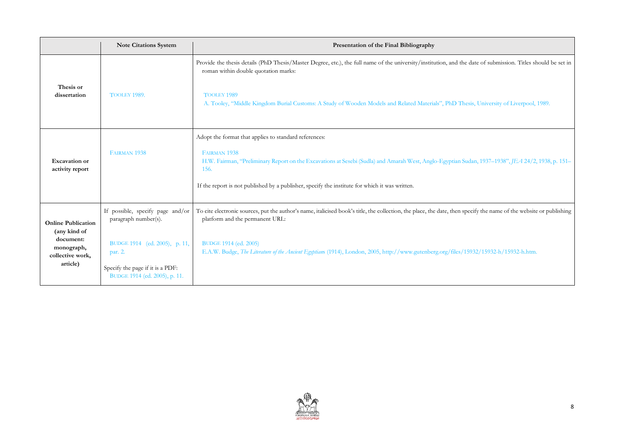A. Tooley, "Middle Kingdom Burial Customs: A Study of Wooden Models and Related Materials", PhD Thesis, University of Liverpool, 1989.

dan, 1937–1938", *JEA* 24/2, 1938, p. 151–

ecify the name of the website or publishing

|                                                                                                      | <b>Note Citations System</b>                                                                                  | Presentation of the Final Bibliography                                                                                                                                                                                                                                                        |
|------------------------------------------------------------------------------------------------------|---------------------------------------------------------------------------------------------------------------|-----------------------------------------------------------------------------------------------------------------------------------------------------------------------------------------------------------------------------------------------------------------------------------------------|
| Thesis or<br>dissertation                                                                            | TOOLEY 1989.                                                                                                  | Provide the thesis details (PhD Thesis/Master Degree, etc.), the full name of the university/institution, and the or<br>roman within double quotation marks:<br>TOOLEY 1989<br>A. Tooley, "Middle Kingdom Burial Customs: A Study of Wooden Models and Related Materials", PhD Thes           |
| <b>Excavation or</b><br>activity report                                                              | FAIRMAN 1938                                                                                                  | Adopt the format that applies to standard references:<br>FAIRMAN 1938<br>H.W. Fairman, "Preliminary Report on the Excavations at Sesebi (Sudla) and Amarah West, Anglo-Egyptian Suc<br>156.<br>If the report is not published by a publisher, specify the institute for which it was written. |
| <b>Online Publication</b><br>(any kind of<br>document:<br>monograph,<br>collective work,<br>article) | If possible, specify page and/or<br>paragraph number(s).                                                      | To cite electronic sources, put the author's name, italicised book's title, the collection, the place, the date, then spe<br>platform and the permanent URL:                                                                                                                                  |
|                                                                                                      | BUDGE 1914 (ed. 2005), p. 11,<br>par. 2.<br>Specify the page if it is a PDF:<br>BUDGE 1914 (ed. 2005), p. 11. | BUDGE 1914 (ed. 2005)<br>E.A.W. Budge, The Literature of the Ancient Egyptians (1914), London, 2005, http://www.gutenberg.org/files/15                                                                                                                                                        |



date of submission. Titles should be set in

E.A.W. Budge, *The Literature of the Ancient Egyptian*s (1914), London, 2005, http://www.gutenberg.org/files/15932/15932-h/15932-h.htm.